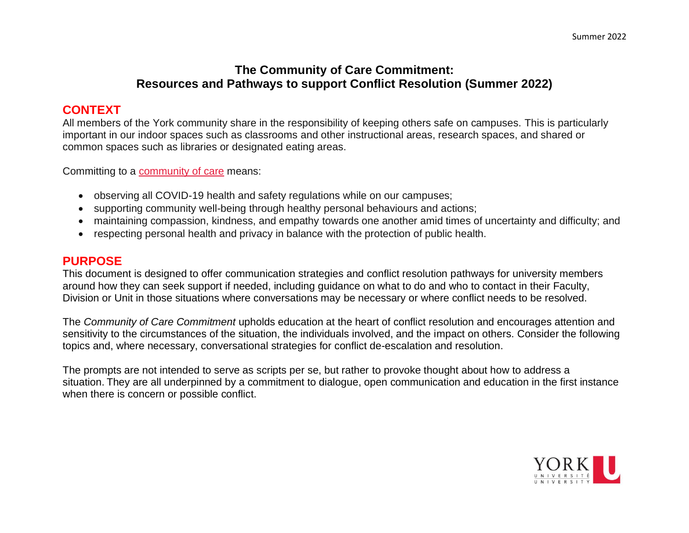## **The Community of Care Commitment: Resources and Pathways to support Conflict Resolution (Summer 2022)**

# **CONTEXT**

All members of the York community share in the responsibility of keeping others safe on campuses. This is particularly important in our indoor spaces such as classrooms and other instructional areas, research spaces, and shared or common spaces such as libraries or designated eating areas.

Committing to a [community](https://www.yorku.ca/bettertogether/creating-a-community-of-care/) of care means:

- observing all COVID-19 health and safety regulations while on our campuses;
- supporting community well-being through healthy personal behaviours and actions;
- maintaining compassion, kindness, and empathy towards one another amid times of uncertainty and difficulty; and
- respecting personal health and privacy in balance with the protection of public health.

#### **PURPOSE**

This document is designed to offer communication strategies and conflict resolution pathways for university members around how they can seek support if needed, including guidance on what to do and who to contact in their Faculty, Division or Unit in those situations where conversations may be necessary or where conflict needs to be resolved.

The *Community of Care Commitment* upholds education at the heart of conflict resolution and encourages attention and sensitivity to the circumstances of the situation, the individuals involved, and the impact on others. Consider the following topics and, where necessary, conversational strategies for conflict de-escalation and resolution.

The prompts are not intended to serve as scripts per se, but rather to provoke thought about how to address a situation. They are all underpinned by a commitment to dialogue, open communication and education in the first instance when there is concern or possible conflict.

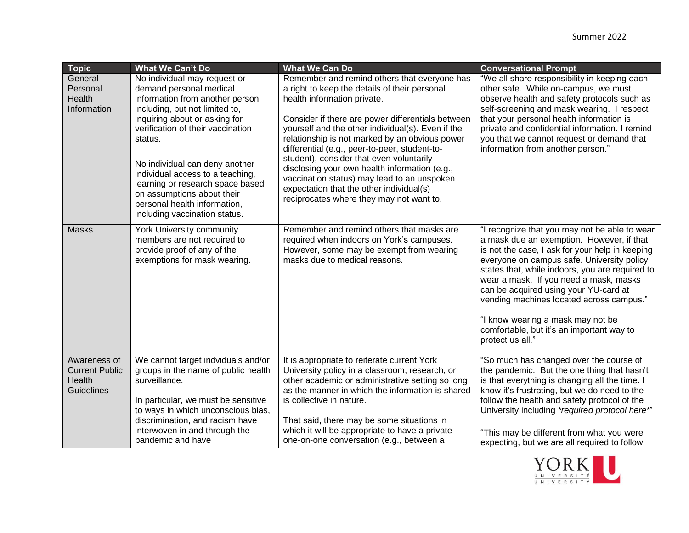| <b>Topic</b>                                                         | <b>What We Can't Do</b>                                                                                                                                                                                                                                                                                                                                                                                                | <b>What We Can Do</b>                                                                                                                                                                                                                                                                                                                                                                                                                                                                                                                                                         | <b>Conversational Prompt</b>                                                                                                                                                                                                                                                                                                                                                                                                                                                        |
|----------------------------------------------------------------------|------------------------------------------------------------------------------------------------------------------------------------------------------------------------------------------------------------------------------------------------------------------------------------------------------------------------------------------------------------------------------------------------------------------------|-------------------------------------------------------------------------------------------------------------------------------------------------------------------------------------------------------------------------------------------------------------------------------------------------------------------------------------------------------------------------------------------------------------------------------------------------------------------------------------------------------------------------------------------------------------------------------|-------------------------------------------------------------------------------------------------------------------------------------------------------------------------------------------------------------------------------------------------------------------------------------------------------------------------------------------------------------------------------------------------------------------------------------------------------------------------------------|
| General<br>Personal<br>Health<br>Information                         | No individual may request or<br>demand personal medical<br>information from another person<br>including, but not limited to,<br>inquiring about or asking for<br>verification of their vaccination<br>status.<br>No individual can deny another<br>individual access to a teaching,<br>learning or research space based<br>on assumptions about their<br>personal health information,<br>including vaccination status. | Remember and remind others that everyone has<br>a right to keep the details of their personal<br>health information private.<br>Consider if there are power differentials between<br>yourself and the other individual(s). Even if the<br>relationship is not marked by an obvious power<br>differential (e.g., peer-to-peer, student-to-<br>student), consider that even voluntarily<br>disclosing your own health information (e.g.,<br>vaccination status) may lead to an unspoken<br>expectation that the other individual(s)<br>reciprocates where they may not want to. | "We all share responsibility in keeping each<br>other safe. While on-campus, we must<br>observe health and safety protocols such as<br>self-screening and mask wearing. I respect<br>that your personal health information is<br>private and confidential information. I remind<br>you that we cannot request or demand that<br>information from another person."                                                                                                                   |
| <b>Masks</b>                                                         | York University community<br>members are not required to<br>provide proof of any of the<br>exemptions for mask wearing.                                                                                                                                                                                                                                                                                                | Remember and remind others that masks are<br>required when indoors on York's campuses.<br>However, some may be exempt from wearing<br>masks due to medical reasons.                                                                                                                                                                                                                                                                                                                                                                                                           | "I recognize that you may not be able to wear<br>a mask due an exemption. However, if that<br>is not the case, I ask for your help in keeping<br>everyone on campus safe. University policy<br>states that, while indoors, you are required to<br>wear a mask. If you need a mask, masks<br>can be acquired using your YU-card at<br>vending machines located across campus."<br>"I know wearing a mask may not be<br>comfortable, but it's an important way to<br>protect us all." |
| Awareness of<br><b>Current Public</b><br>Health<br><b>Guidelines</b> | We cannot target indviduals and/or<br>groups in the name of public health<br>surveillance.<br>In particular, we must be sensitive<br>to ways in which unconscious bias,<br>discrimination, and racism have<br>interwoven in and through the<br>pandemic and have                                                                                                                                                       | It is appropriate to reiterate current York<br>University policy in a classroom, research, or<br>other academic or administrative setting so long<br>as the manner in which the information is shared<br>is collective in nature.<br>That said, there may be some situations in<br>which it will be appropriate to have a private<br>one-on-one conversation (e.g., between a                                                                                                                                                                                                 | "So much has changed over the course of<br>the pandemic. But the one thing that hasn't<br>is that everything is changing all the time. I<br>know it's frustrating, but we do need to the<br>follow the health and safety protocol of the<br>University including *required protocol here*"<br>"This may be different from what you were<br>expecting, but we are all required to follow                                                                                             |

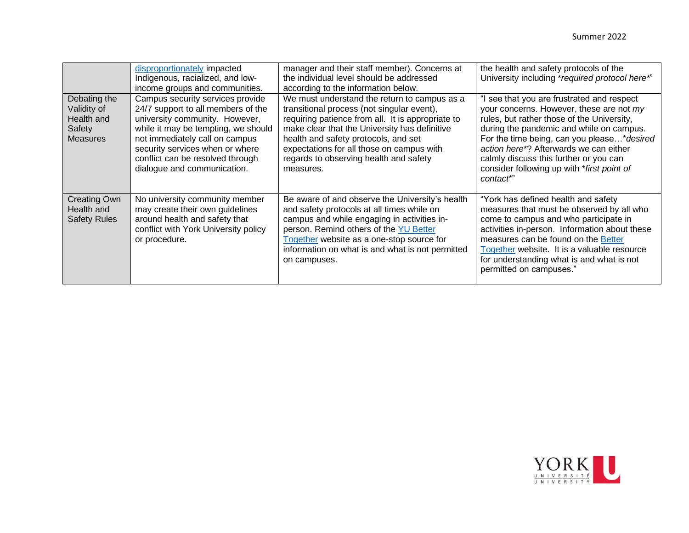|                                                                        | disproportionately impacted<br>Indigenous, racialized, and low-<br>income groups and communities.                                                                                                                                                                                       | manager and their staff member). Concerns at<br>the individual level should be addressed<br>according to the information below.                                                                                                                                                                                                              | the health and safety protocols of the<br>University including *required protocol here*"                                                                                                                                                                                                                                                                                      |
|------------------------------------------------------------------------|-----------------------------------------------------------------------------------------------------------------------------------------------------------------------------------------------------------------------------------------------------------------------------------------|----------------------------------------------------------------------------------------------------------------------------------------------------------------------------------------------------------------------------------------------------------------------------------------------------------------------------------------------|-------------------------------------------------------------------------------------------------------------------------------------------------------------------------------------------------------------------------------------------------------------------------------------------------------------------------------------------------------------------------------|
| Debating the<br>Validity of<br>Health and<br>Safety<br><b>Measures</b> | Campus security services provide<br>24/7 support to all members of the<br>university community. However,<br>while it may be tempting, we should<br>not immediately call on campus<br>security services when or where<br>conflict can be resolved through<br>dialogue and communication. | We must understand the return to campus as a<br>transitional process (not singular event),<br>requiring patience from all. It is appropriate to<br>make clear that the University has definitive<br>health and safety protocols, and set<br>expectations for all those on campus with<br>regards to observing health and safety<br>measures. | I see that you are frustrated and respect<br>your concerns. However, these are not my<br>rules, but rather those of the University,<br>during the pandemic and while on campus.<br>For the time being, can you please* desired<br>action here*? Afterwards we can either<br>calmly discuss this further or you can<br>consider following up with *first point of<br>contact*" |
| <b>Creating Own</b><br>Health and<br><b>Safety Rules</b>               | No university community member<br>may create their own guidelines<br>around health and safety that<br>conflict with York University policy<br>or procedure.                                                                                                                             | Be aware of and observe the University's health<br>and safety protocols at all times while on<br>campus and while engaging in activities in-<br>person. Remind others of the YU Better<br>Together website as a one-stop source for<br>information on what is and what is not permitted<br>on campuses.                                      | "York has defined health and safety<br>measures that must be observed by all who<br>come to campus and who participate in<br>activities in-person. Information about these<br>measures can be found on the Better<br>Together website. It is a valuable resource<br>for understanding what is and what is not<br>permitted on campuses."                                      |

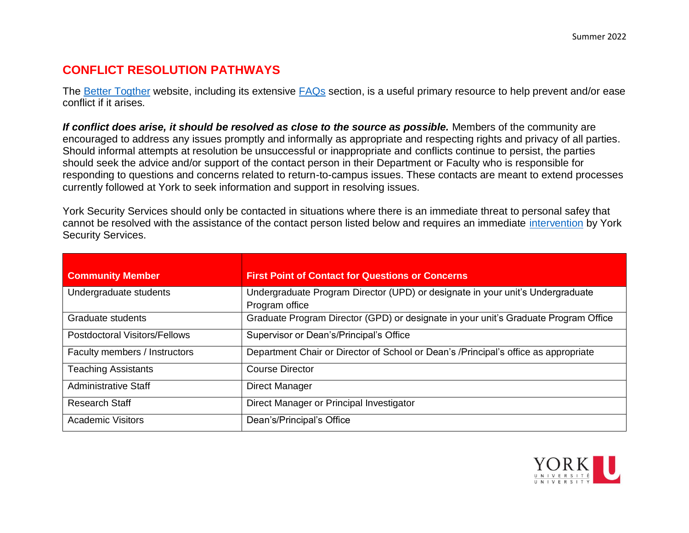## **CONFLICT RESOLUTION PATHWAYS**

The [Better Togther](https://www.yorku.ca/bettertogether/) website, including its extensive [FAQs](https://www.yorku.ca/bettertogether/faqs/) section, is a useful primary resource to help prevent and/or ease conflict if it arises.

*If conflict does arise, it should be resolved as close to the source as possible.* Members of the community are encouraged to address any issues promptly and informally as appropriate and respecting rights and privacy of all parties. Should informal attempts at resolution be unsuccessful or inappropriate and conflicts continue to persist, the parties should seek the advice and/or support of the contact person in their Department or Faculty who is responsible for responding to questions and concerns related to return-to-campus issues. These contacts are meant to extend processes currently followed at York to seek information and support in resolving issues.

York Security Services should only be contacted in situations where there is an immediate threat to personal safey that cannot be resolved with the assistance of the contact person listed below and requires an immediate [intervention](https://www.yorku.ca/bettertogether/wp-content/uploads/sites/299/2022/02/Additional-Information-on-Conflict-Resolution-and-Yorks-Intervention_Feb2022.pdf) by York Security Services.

| <b>Community Member</b>              | <b>First Point of Contact for Questions or Concerns</b>                                          |
|--------------------------------------|--------------------------------------------------------------------------------------------------|
| Undergraduate students               | Undergraduate Program Director (UPD) or designate in your unit's Undergraduate<br>Program office |
| Graduate students                    | Graduate Program Director (GPD) or designate in your unit's Graduate Program Office              |
| <b>Postdoctoral Visitors/Fellows</b> | Supervisor or Dean's/Principal's Office                                                          |
| Faculty members / Instructors        | Department Chair or Director of School or Dean's /Principal's office as appropriate              |
| <b>Teaching Assistants</b>           | <b>Course Director</b>                                                                           |
| <b>Administrative Staff</b>          | <b>Direct Manager</b>                                                                            |
| Research Staff                       | Direct Manager or Principal Investigator                                                         |
| <b>Academic Visitors</b>             | Dean's/Principal's Office                                                                        |

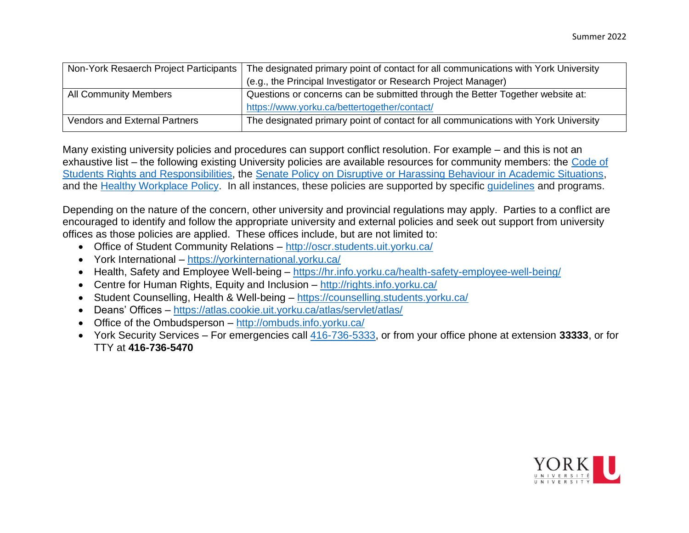| Non-York Resaerch Project Participants | The designated primary point of contact for all communications with York University |
|----------------------------------------|-------------------------------------------------------------------------------------|
|                                        | (e.g., the Principal Investigator or Research Project Manager)                      |
| <b>All Community Members</b>           | Questions or concerns can be submitted through the Better Together website at:      |
|                                        | https://www.yorku.ca/bettertogether/contact/                                        |
| <b>Vendors and External Partners</b>   | The designated primary point of contact for all communications with York University |

Many existing university policies and procedures can support conflict resolution. For example – and this is not an exhaustive list – the following existing University policies are available resources for community members: the Code of [Students Rights and Responsibilities,](https://secretariat-policies.info.yorku.ca/files/2020/08/CodeofRightsandResponsibilities.pdf) the [Senate Policy on Disruptive or Harassing Behaviour in Academic Situations,](https://www.yorku.ca/secretariat/policies/policies/disruptive-andor-harassing-behaviour-in-academic-situations-senate-policy/) and the [Healthy Workplace Policy.](https://www.yorku.ca/secretariat/policies/policies/healthy-workplace-policy/) In all instances, these policies are supported by specific [guidelines](https://vpap.info.yorku.ca/guidelines-for-managing-disruptive-student-behaviour-in-academic-settings/) and programs.

Depending on the nature of the concern, other university and provincial regulations may apply. Parties to a conflict are encouraged to identify and follow the appropriate university and external policies and seek out support from university offices as those policies are applied. These offices include, but are not limited to:

- Office of Student Community Relations <http://oscr.students.uit.yorku.ca/>
- York International <https://yorkinternational.yorku.ca/>
- Health, Safety and Employee Well-being <https://hr.info.yorku.ca/health-safety-employee-well-being/>
- Centre for Human Rights, Equity and Inclusion <http://rights.info.yorku.ca/>
- Student Counselling, Health & Well-being <https://counselling.students.yorku.ca/>
- Deans' Offices <https://atlas.cookie.uit.yorku.ca/atlas/servlet/atlas/>
- Office of the Ombudsperson <http://ombuds.info.yorku.ca/>
- York Security Services For emergencies call [416-736-5333,](tel:+14167365333) or from your office phone at extension **33333**, or for TTY at **416-736-5470**